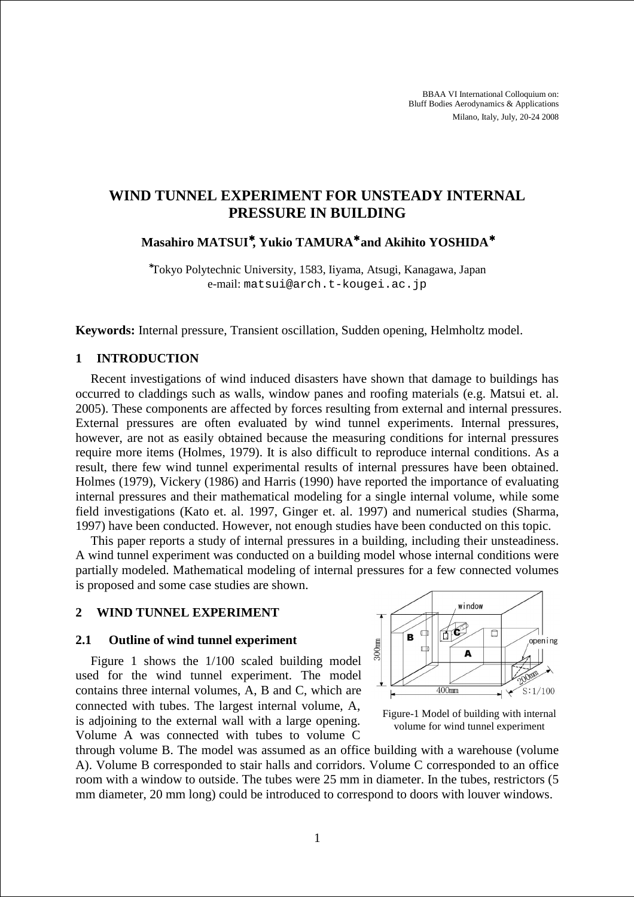BBAA VI International Colloquium on: Bluff Bodies Aerodynamics & Applications Milano, Italy, July, 20-24 2008

# **WIND TUNNEL EXPERIMENT FOR UNSTEADY INTERNAL PRESSURE IN BUILDING**

**Masahiro MATSUI**<sup>∗</sup>**, Yukio TAMURA**<sup>∗</sup> **and Akihito YOSHIDA**<sup>∗</sup>

<sup>∗</sup>Tokyo Polytechnic University, 1583, Iiyama, Atsugi, Kanagawa, Japan e-mail: matsui@arch.t-kougei.ac.jp

**Keywords:** Internal pressure, Transient oscillation, Sudden opening, Helmholtz model.

### **1 INTRODUCTION**

Recent investigations of wind induced disasters have shown that damage to buildings has occurred to claddings such as walls, window panes and roofing materials (e.g. Matsui et. al. 2005). These components are affected by forces resulting from external and internal pressures. External pressures are often evaluated by wind tunnel experiments. Internal pressures, however, are not as easily obtained because the measuring conditions for internal pressures require more items (Holmes, 1979). It is also difficult to reproduce internal conditions. As a result, there few wind tunnel experimental results of internal pressures have been obtained. Holmes (1979), Vickery (1986) and Harris (1990) have reported the importance of evaluating internal pressures and their mathematical modeling for a single internal volume, while some field investigations (Kato et. al. 1997, Ginger et. al. 1997) and numerical studies (Sharma, 1997) have been conducted. However, not enough studies have been conducted on this topic.

This paper reports a study of internal pressures in a building, including their unsteadiness. A wind tunnel experiment was conducted on a building model whose internal conditions were partially modeled. Mathematical modeling of internal pressures for a few connected volumes is proposed and some case studies are shown.

### **2 WIND TUNNEL EXPERIMENT**

#### **2.1 Outline of wind tunnel experiment**

Figure 1 shows the 1/100 scaled building model used for the wind tunnel experiment. The model contains three internal volumes, A, B and C, which are connected with tubes. The largest internal volume, A, is adjoining to the external wall with a large opening. Volume A was connected with tubes to volume C



Figure-1 Model of building with internal volume for wind tunnel experiment

through volume B. The model was assumed as an office building with a warehouse (volume A). Volume B corresponded to stair halls and corridors. Volume C corresponded to an office room with a window to outside. The tubes were 25 mm in diameter. In the tubes, restrictors (5 mm diameter, 20 mm long) could be introduced to correspond to doors with louver windows.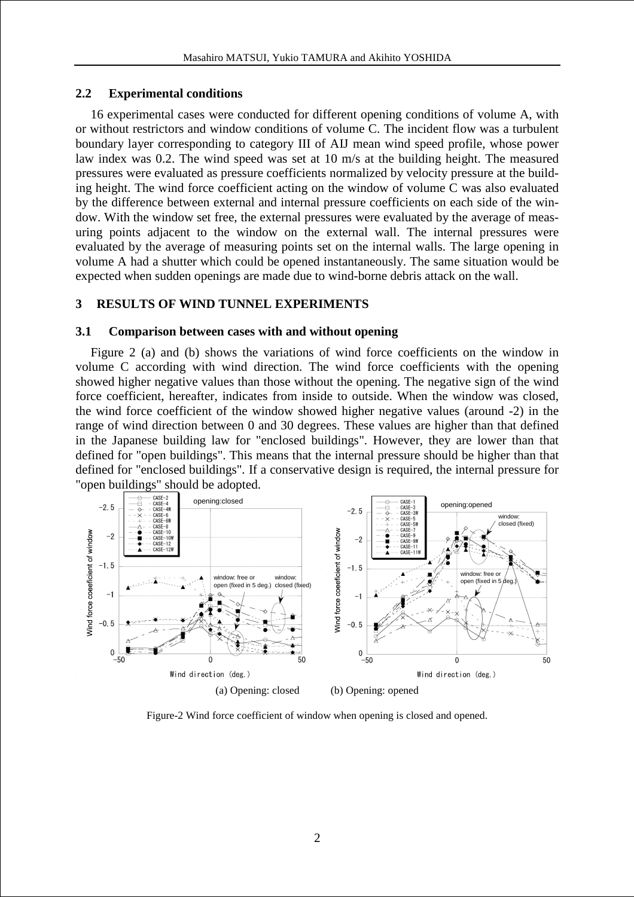# **2.2 Experimental conditions**

16 experimental cases were conducted for different opening conditions of volume A, with or without restrictors and window conditions of volume C. The incident flow was a turbulent boundary layer corresponding to category III of AIJ mean wind speed profile, whose power law index was 0.2. The wind speed was set at 10 m/s at the building height. The measured pressures were evaluated as pressure coefficients normalized by velocity pressure at the building height. The wind force coefficient acting on the window of volume C was also evaluated by the difference between external and internal pressure coefficients on each side of the window. With the window set free, the external pressures were evaluated by the average of measuring points adjacent to the window on the external wall. The internal pressures were evaluated by the average of measuring points set on the internal walls. The large opening in volume A had a shutter which could be opened instantaneously. The same situation would be expected when sudden openings are made due to wind-borne debris attack on the wall.

# **3 RESULTS OF WIND TUNNEL EXPERIMENTS**

### **3.1 Comparison between cases with and without opening**

Figure 2 (a) and (b) shows the variations of wind force coefficients on the window in volume C according with wind direction. The wind force coefficients with the opening showed higher negative values than those without the opening. The negative sign of the wind force coefficient, hereafter, indicates from inside to outside. When the window was closed, the wind force coefficient of the window showed higher negative values (around -2) in the range of wind direction between 0 and 30 degrees. These values are higher than that defined in the Japanese building law for "enclosed buildings". However, they are lower than that defined for "open buildings". This means that the internal pressure should be higher than that defined for "enclosed buildings". If a conservative design is required, the internal pressure for "open buildings" should be adopted.



Figure-2 Wind force coefficient of window when opening is closed and opened.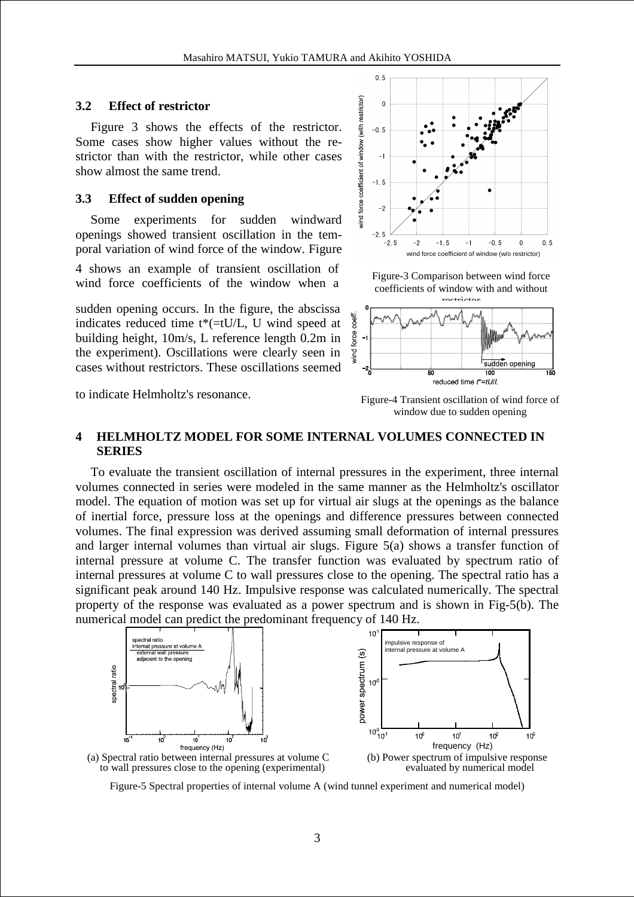#### **3.2 Effect of restrictor**

Figure 3 shows the effects of the restrictor. Some cases show higher values without the restrictor than with the restrictor, while other cases show almost the same trend.

#### **3.3 Effect of sudden opening**

Some experiments for sudden windward openings showed transient oscillation in the temporal variation of wind force of the window. Figure

4 shows an example of transient oscillation of wind force coefficients of the window when a

sudden opening occurs. In the figure, the abscissa indicates reduced time t\*(=tU/L, U wind speed at building height, 10m/s, L reference length 0.2m in the experiment). Oscillations were clearly seen in cases without restrictors. These oscillations seemed

to indicate Helmholtz's resonance.



Figure-3 Comparison between wind force coefficients of window with and without



Figure-4 Transient oscillation of wind force of window due to sudden opening

### **4 HELMHOLTZ MODEL FOR SOME INTERNAL VOLUMES CONNECTED IN SERIES**

To evaluate the transient oscillation of internal pressures in the experiment, three internal volumes connected in series were modeled in the same manner as the Helmholtz's oscillator model. The equation of motion was set up for virtual air slugs at the openings as the balance of inertial force, pressure loss at the openings and difference pressures between connected volumes. The final expression was derived assuming small deformation of internal pressures and larger internal volumes than virtual air slugs. Figure 5(a) shows a transfer function of internal pressure at volume C. The transfer function was evaluated by spectrum ratio of internal pressures at volume C to wall pressures close to the opening. The spectral ratio has a significant peak around 140 Hz. Impulsive response was calculated numerically. The spectral property of the response was evaluated as a power spectrum and is shown in Fig-5(b). The numerical model can predict the predominant frequency of 140 Hz.



Figure-5 Spectral properties of internal volume A (wind tunnel experiment and numerical model)